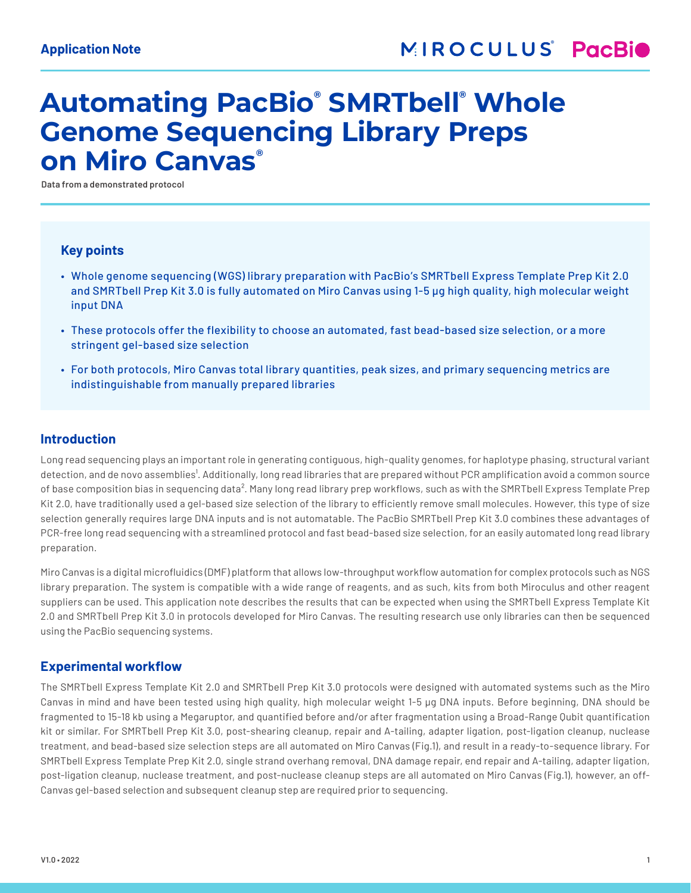# **Automating PacBio® SMRTbell® Whole Genome Sequencing Library Preps on Miro Canvas®**

**Data from a demonstrated protocol**

## **Key points**

- Whole genome sequencing (WGS) library preparation with PacBio's SMRTbell Express Template Prep Kit 2.0 and SMRTbell Prep Kit 3.0 is fully automated on Miro Canvas using 1-5 µg high quality, high molecular weight input DNA
- These protocols offer the flexibility to choose an automated, fast bead-based size selection, or a more stringent gel-based size selection
- For both protocols, Miro Canvas total library quantities, peak sizes, and primary sequencing metrics are indistinguishable from manually prepared libraries

## **Introduction**

Long read sequencing plays an important role in generating contiguous, high-quality genomes, for haplotype phasing, structural variant detection, and de novo assemblies<sup>1</sup>. Additionally, long read libraries that are prepared without PCR amplification avoid a common source of base composition bias in sequencing data². Many long read library prep workflows, such as with the SMRTbell Express Template Prep Kit 2.0, have traditionally used a gel-based size selection of the library to efficiently remove small molecules. However, this type of size selection generally requires large DNA inputs and is not automatable. The PacBio SMRTbell Prep Kit 3.0 combines these advantages of PCR-free long read sequencing with a streamlined protocol and fast bead-based size selection, for an easily automated long read library preparation.

Miro Canvas is a digital microfluidics (DMF) platform that allows low-throughput workflow automation for complex protocols such as NGS library preparation. The system is compatible with a wide range of reagents, and as such, kits from both Miroculus and other reagent suppliers can be used. This application note describes the results that can be expected when using the SMRTbell Express Template Kit 2.0 and SMRTbell Prep Kit 3.0 in protocols developed for Miro Canvas. The resulting research use only libraries can then be sequenced using the PacBio sequencing systems.

## **Experimental workflow**

The SMRTbell Express Template Kit 2.0 and SMRTbell Prep Kit 3.0 protocols were designed with automated systems such as the Miro Canvas in mind and have been tested using high quality, high molecular weight 1-5 µg DNA inputs. Before beginning, DNA should be fragmented to 15-18 kb using a Megaruptor, and quantified before and/or after fragmentation using a Broad-Range Qubit quantification kit or similar. For SMRTbell Prep Kit 3.0, post-shearing cleanup, repair and A-tailing, adapter ligation, post-ligation cleanup, nuclease treatment, and bead-based size selection steps are all automated on Miro Canvas (Fig.1), and result in a ready-to-sequence library. For SMRTbell Express Template Prep Kit 2.0, single strand overhang removal, DNA damage repair, end repair and A-tailing, adapter ligation, post-ligation cleanup, nuclease treatment, and post-nuclease cleanup steps are all automated on Miro Canvas (Fig.1), however, an off-Canvas gel-based selection and subsequent cleanup step are required prior to sequencing.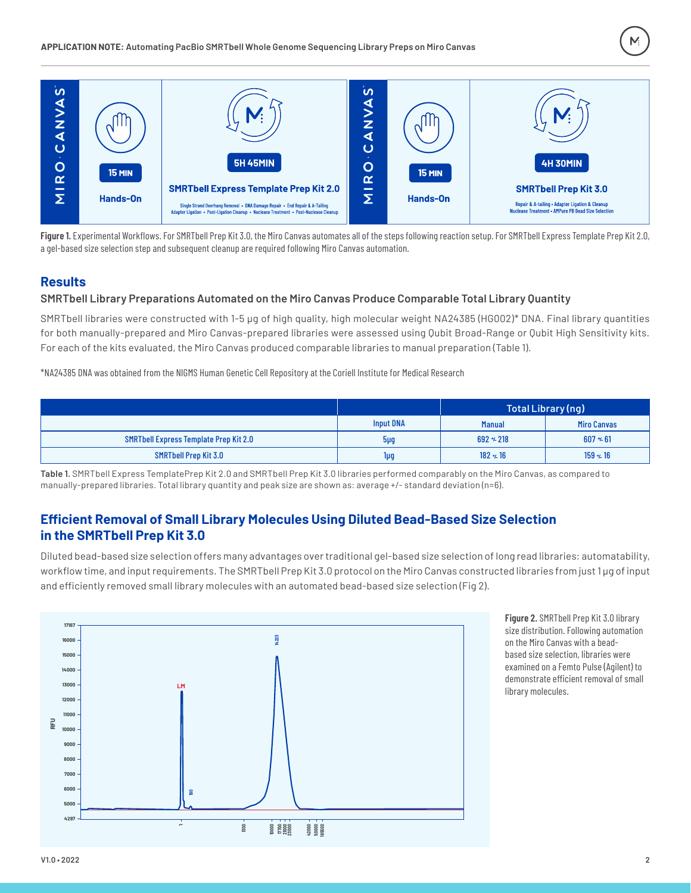

Figure 1. Experimental Workflows. For SMRTbell Prep Kit 3.0, the Miro Canvas automates all of the steps following reaction setup. For SMRTbell Express Template Prep Kit 2.0, a gel-based size selection step and subsequent cleanup are required following Miro Canvas automation.

# **Results**

#### **SMRTbell Library Preparations Automated on the Miro Canvas Produce Comparable Total Library Quantity**

SMRTbell libraries were constructed with 1-5 µg of high quality, high molecular weight NA24385 (HG002)\* DNA. Final library quantities for both manually-prepared and Miro Canvas-prepared libraries were assessed using Qubit Broad-Range or Qubit High Sensitivity kits. For each of the kits evaluated, the Miro Canvas produced comparable libraries to manual preparation (Table 1).

\*NA24385 DNA was obtained from the NIGMS Human Genetic Cell Repository at the Coriell Institute for Medical Research

|                                               |                  | Total Library (ng) |                    |
|-----------------------------------------------|------------------|--------------------|--------------------|
|                                               | <b>Input DNA</b> | <b>Manual</b>      | <b>Miro Canvas</b> |
| <b>SMRTbell Express Template Prep Kit 2.0</b> | $5\mu$ g         | $692 + 218$        | $607 + 61$         |
| <b>SMRTbell Prep Kit 3.0</b>                  | 1µg              | $182 + 16$         | $159 + 16$         |

**Table 1.** SMRTbell Express TemplatePrep Kit 2.0 and SMRTbell Prep Kit 3.0 libraries performed comparably on the Miro Canvas, as compared to manually-prepared libraries. Total library quantity and peak size are shown as: average +/- standard deviation (n=6).

# **Efficient Removal of Small Library Molecules Using Diluted Bead-Based Size Selection in the SMRTbell Prep Kit 3.0**

Diluted bead-based size selection offers many advantages over traditional gel-based size selection of long read libraries: automatability, workflow time, and input requirements. The SMRTbell Prep Kit 3.0 protocol on the Miro Canvas constructed libraries from just 1 µg of input and efficiently removed small library molecules with an automated bead-based size selection (Fig 2).



**Figure 2.** SMRTbell Prep Kit 3.0 library size distribution. Following automation on the Miro Canvas with a beadbased size selection, libraries were examined on a Femto Pulse (Agilent) to demonstrate efficient removal of small library molecules.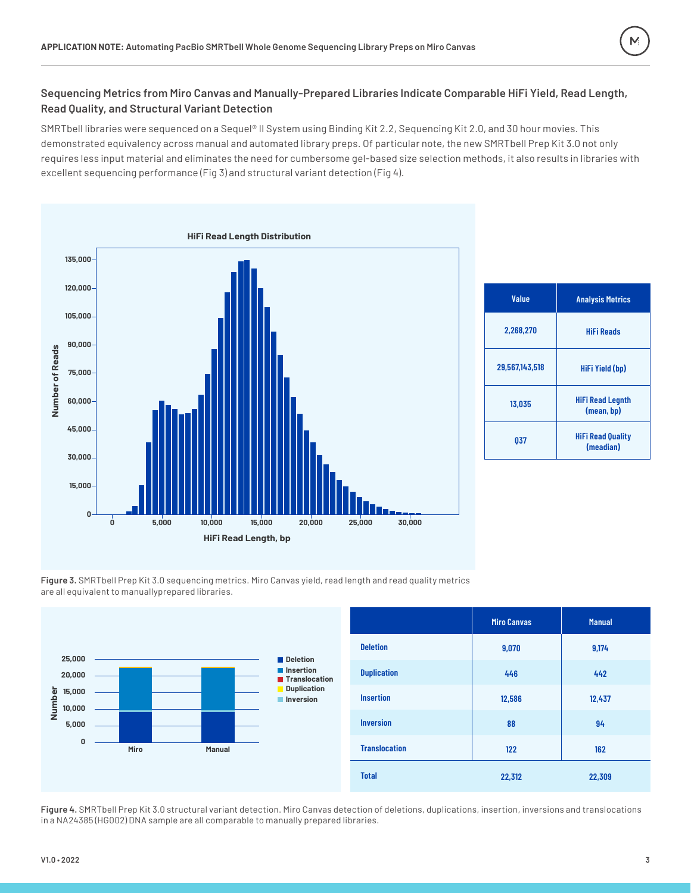

# **Sequencing Metrics from Miro Canvas and Manually-Prepared Libraries Indicate Comparable HiFi Yield, Read Length, Read Quality, and Structural Variant Detection**

SMRTbell libraries were sequenced on a Sequel® II System using Binding Kit 2.2, Sequencing Kit 2.0, and 30 hour movies. This demonstrated equivalency across manual and automated library preps. Of particular note, the new SMRTbell Prep Kit 3.0 not only requires less input material and eliminates the need for cumbersome gel-based size selection methods, it also results in libraries with excellent sequencing performance (Fig 3) and structural variant detection (Fig 4).



| <b>Value</b>   | <b>Analysis Metrics</b>               |  |
|----------------|---------------------------------------|--|
| 2,268,270      | <b>HiFi Reads</b>                     |  |
| 29,567,143,518 | HiFi Yield (bp)                       |  |
| 13.035         | <b>HiFi Read Legnth</b><br>(mean, bp) |  |
| 037            | <b>HiFi Read Quality</b><br>(meadian) |  |

**Figure 3.** SMRTbell Prep Kit 3.0 sequencing metrics. Miro Canvas yield, read length and read quality metrics are all equivalent to manuallyprepared libraries.



**Figure 4.** SMRTbell Prep Kit 3.0 structural variant detection. Miro Canvas detection of deletions, duplications, insertion, inversions and translocations